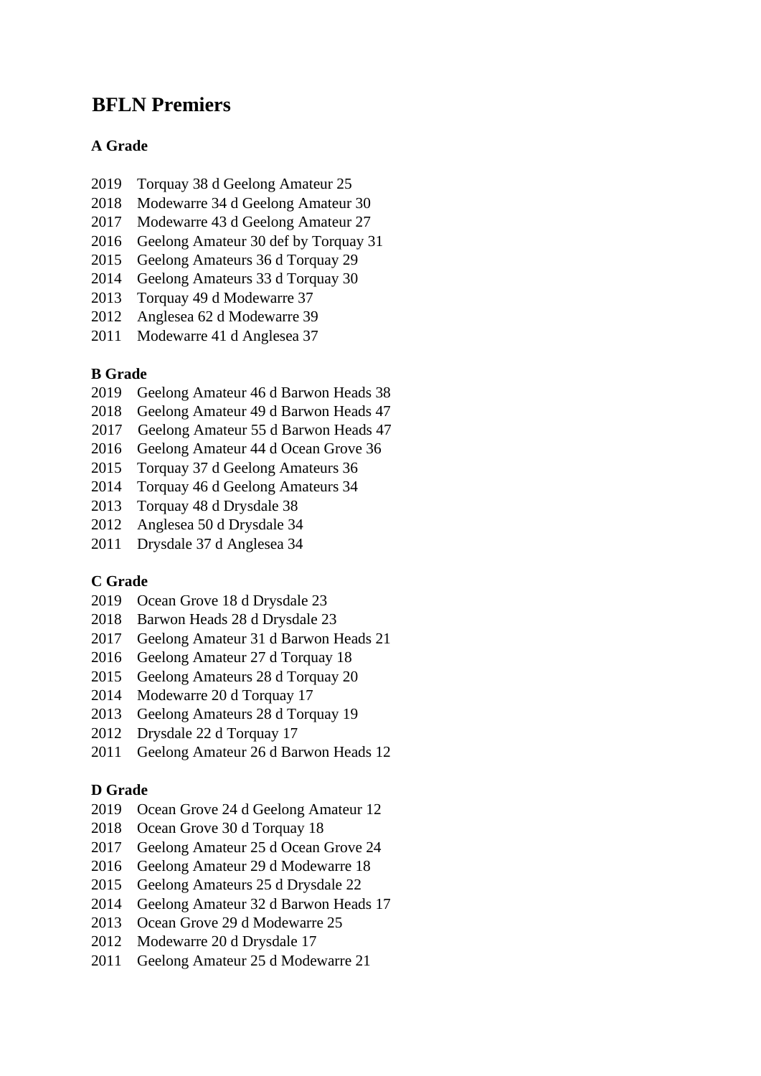# **BFLN Premiers**

#### **A Grade**

- 2019 Torquay 38 d Geelong Amateur 25
- 2018 Modewarre 34 d Geelong Amateur 30
- 2017 Modewarre 43 d Geelong Amateur 27
- 2016 Geelong Amateur 30 def by Torquay 31
- 2015 Geelong Amateurs 36 d Torquay 29
- 2014 Geelong Amateurs 33 d Torquay 30
- 2013 Torquay 49 d Modewarre 37
- 2012 Anglesea 62 d Modewarre 39
- 2011 Modewarre 41 d Anglesea 37

#### **B Grade**

- 2019 Geelong Amateur 46 d Barwon Heads 38
- 2018 Geelong Amateur 49 d Barwon Heads 47
- 2017 Geelong Amateur 55 d Barwon Heads 47
- 2016 Geelong Amateur 44 d Ocean Grove 36
- 2015 Torquay 37 d Geelong Amateurs 36
- 2014 Torquay 46 d Geelong Amateurs 34
- 2013 Torquay 48 d Drysdale 38
- 2012 Anglesea 50 d Drysdale 34
- 2011 Drysdale 37 d Anglesea 34

#### **C Grade**

- 2019 Ocean Grove 18 d Drysdale 23
- 2018 Barwon Heads 28 d Drysdale 23
- 2017 Geelong Amateur 31 d Barwon Heads 21
- 2016 Geelong Amateur 27 d Torquay 18
- 2015 Geelong Amateurs 28 d Torquay 20
- 2014 Modewarre 20 d Torquay 17
- 2013 Geelong Amateurs 28 d Torquay 19
- 2012 Drysdale 22 d Torquay 17
- 2011 Geelong Amateur 26 d Barwon Heads 12

#### **D Grade**

- 2019 Ocean Grove 24 d Geelong Amateur 12
- 2018 Ocean Grove 30 d Torquay 18
- 2017 Geelong Amateur 25 d Ocean Grove 24
- 2016 Geelong Amateur 29 d Modewarre 18
- 2015 Geelong Amateurs 25 d Drysdale 22
- 2014 Geelong Amateur 32 d Barwon Heads 17
- 2013 Ocean Grove 29 d Modewarre 25
- 2012 Modewarre 20 d Drysdale 17
- 2011 Geelong Amateur 25 d Modewarre 21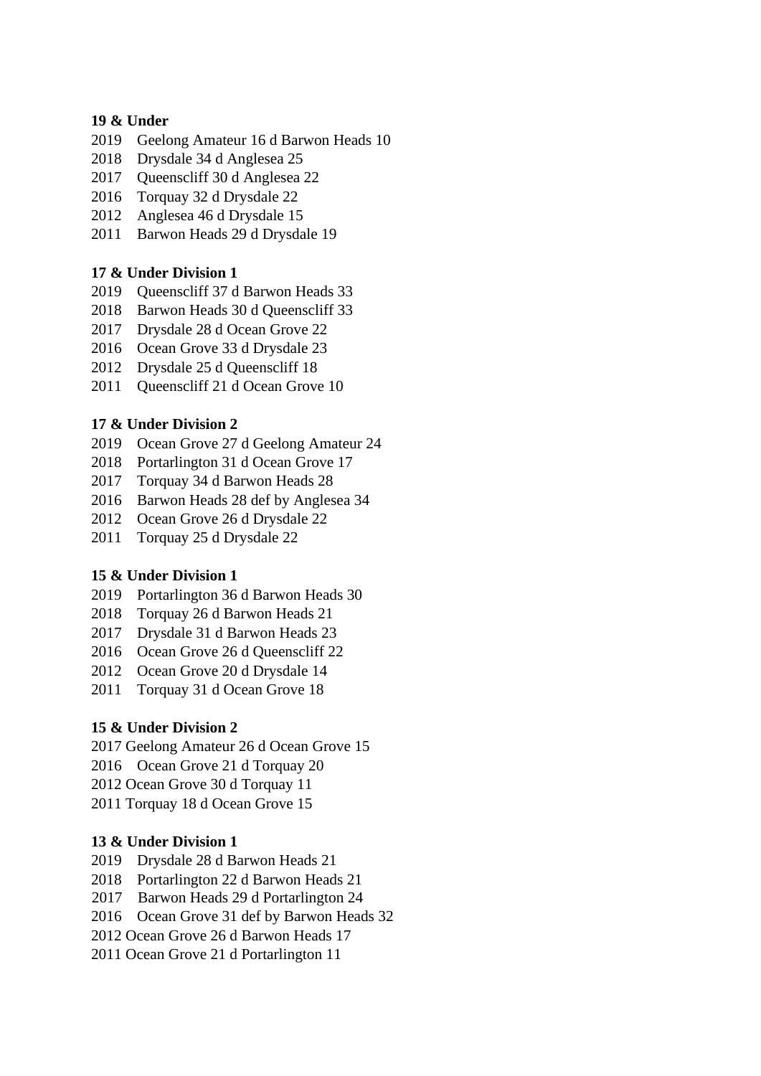## **19 & Under**

- 2019 Geelong Amateur 16 d Barwon Heads 10
- 2018 Drysdale 34 d Anglesea 25
- 2017 Queenscliff 30 d Anglesea 22
- 2016 Torquay 32 d Drysdale 22
- 2012 Anglesea 46 d Drysdale 15
- 2011 Barwon Heads 29 d Drysdale 19

## **17 & Under Division 1**

- 2019 Queenscliff 37 d Barwon Heads 33
- 2018 Barwon Heads 30 d Queenscliff 33
- 2017 Drysdale 28 d Ocean Grove 22
- 2016 Ocean Grove 33 d Drysdale 23
- 2012 Drysdale 25 d Queenscliff 18
- 2011 Oueenscliff 21 d Ocean Grove 10

## **17 & Under Division 2**

- 2019 Ocean Grove 27 d Geelong Amateur 24
- 2018 Portarlington 31 d Ocean Grove 17
- 2017 Torquay 34 d Barwon Heads 28
- 2016 Barwon Heads 28 def by Anglesea 34
- 2012 Ocean Grove 26 d Drysdale 22
- 2011 Torquay 25 d Drysdale 22

# **15 & Under Division 1**

- 2019 Portarlington 36 d Barwon Heads 30
- 2018 Torquay 26 d Barwon Heads 21
- 2017 Drysdale 31 d Barwon Heads 23
- 2016 Ocean Grove 26 d Queenscliff 22
- 2012 Ocean Grove 20 d Drysdale 14
- 2011 Torquay 31 d Ocean Grove 18

# **15 & Under Division 2**

- 2017 Geelong Amateur 26 d Ocean Grove 15
- 2016 Ocean Grove 21 d Torquay 20
- 2012 Ocean Grove 30 d Torquay 11
- 2011 Torquay 18 d Ocean Grove 15

# **13 & Under Division 1**

- 2019 Drysdale 28 d Barwon Heads 21
- 2018 Portarlington 22 d Barwon Heads 21
- 2017 Barwon Heads 29 d Portarlington 24
- 2016 Ocean Grove 31 def by Barwon Heads 32
- 2012 Ocean Grove 26 d Barwon Heads 17
- 2011 Ocean Grove 21 d Portarlington 11